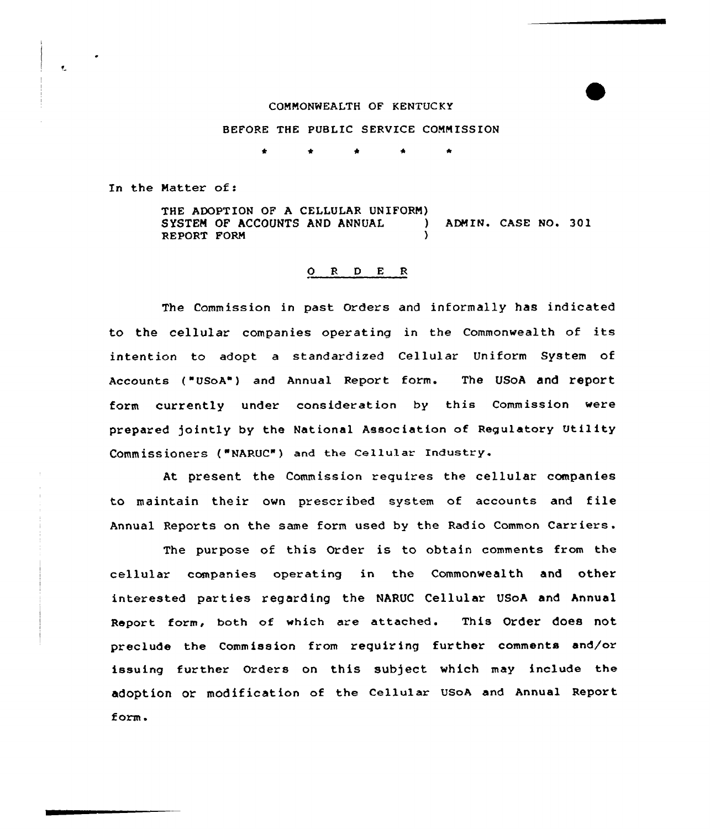## COMMONWEALTH OF KENTUCKY

## BEFORE THE PUBLIC SERVICE COMMISSION

\* \* \*

In the Matter of:

 $\overline{\mathbf{r}}$ 

THE ADOPTION OF A CELLULAR UNIFORM) SYSTEM OF ACCOUNTS AND ANNUAL ) ADMIN. CASE NO. 301 REPORT FORM

## 0 <sup>R</sup> <sup>D</sup> <sup>E</sup> <sup>R</sup>

The Commission in past Orders and informally has indicated to the cellular companies operating in the Commonwealth of its intention to adopt a standardized Cellular Uniform System of Accounts ("UsoA") and Annual Report form. The UsoA and report form currently under consideration by this Commission were prepared )ointly by the National Association of Regulatory Utility Commissioners ("NARUc") and the cellular Industry.

At present the Commission requires the cellular companies to maintain their own prescribed system of accounts and file Annual Reports on the same form used by the Radio Common Carriers .

The purpose of this Order is to obtain comments from the cellular companies operating in the Commonwealth and other interested parties regarding the NARUC Cellular USoA and Annual Report form, both of which are attached. This Order does not preclude the Commission from requiring further comments and/or issuing further Orders on this sub)ect which may include the adoption or modification of the Cellular USoA and Annual Report form.